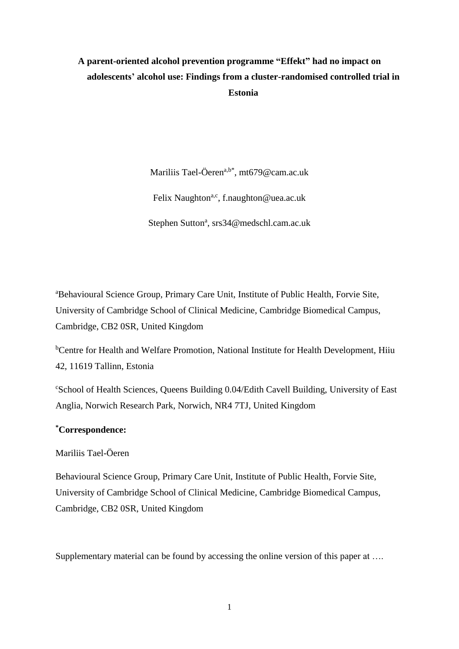# **A parent-oriented alcohol prevention programme "Effekt" had no impact on adolescents' alcohol use: Findings from a cluster-randomised controlled trial in Estonia**

Mariliis Tael-Öeren<sup>a,b\*</sup>, mt679@cam.ac.uk Felix Naughton<sup>a,c</sup>, f.naughton@uea.ac.uk Stephen Sutton<sup>a</sup>, srs34@medschl.cam.ac.uk

<sup>a</sup>Behavioural Science Group, Primary Care Unit, Institute of Public Health, Forvie Site, University of Cambridge School of Clinical Medicine, Cambridge Biomedical Campus, Cambridge, CB2 0SR, United Kingdom

<sup>b</sup>Centre for Health and Welfare Promotion, National Institute for Health Development, Hiiu 42, 11619 Tallinn, Estonia

<sup>c</sup>School of Health Sciences, Queens Building 0.04/Edith Cavell Building, University of East Anglia, Norwich Research Park, Norwich, NR4 7TJ, United Kingdom

# **\*Correspondence:**

# Mariliis Tael-Öeren

Behavioural Science Group, Primary Care Unit, Institute of Public Health, Forvie Site, University of Cambridge School of Clinical Medicine, Cambridge Biomedical Campus, Cambridge, CB2 0SR, United Kingdom

Supplementary material can be found by accessing the online version of this paper at ...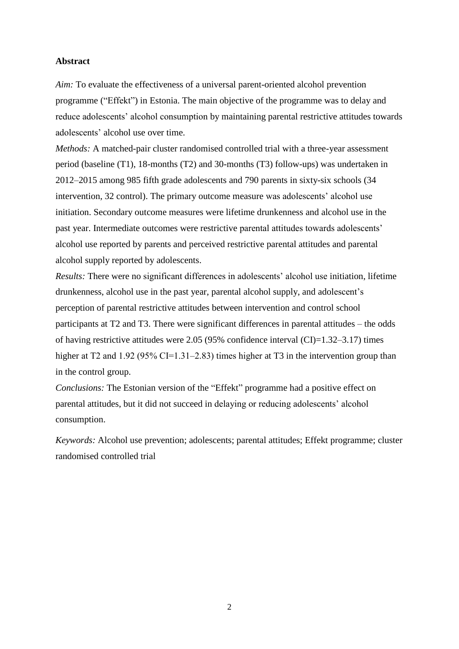## **Abstract**

*Aim:* To evaluate the effectiveness of a universal parent-oriented alcohol prevention programme ("Effekt") in Estonia. The main objective of the programme was to delay and reduce adolescents' alcohol consumption by maintaining parental restrictive attitudes towards adolescents' alcohol use over time.

*Methods:* A matched-pair cluster randomised controlled trial with a three-year assessment period (baseline (T1), 18-months (T2) and 30-months (T3) follow-ups) was undertaken in 2012‒2015 among 985 fifth grade adolescents and 790 parents in sixty-six schools (34 intervention, 32 control). The primary outcome measure was adolescents' alcohol use initiation. Secondary outcome measures were lifetime drunkenness and alcohol use in the past year. Intermediate outcomes were restrictive parental attitudes towards adolescents' alcohol use reported by parents and perceived restrictive parental attitudes and parental alcohol supply reported by adolescents.

*Results:* There were no significant differences in adolescents' alcohol use initiation, lifetime drunkenness, alcohol use in the past year, parental alcohol supply, and adolescent's perception of parental restrictive attitudes between intervention and control school participants at T2 and T3. There were significant differences in parental attitudes – the odds of having restrictive attitudes were  $2.05$  (95% confidence interval (CI)=1.32–3.17) times higher at T2 and 1.92 (95% CI=1.31–2.83) times higher at T3 in the intervention group than in the control group.

*Conclusions:* The Estonian version of the "Effekt" programme had a positive effect on parental attitudes, but it did not succeed in delaying or reducing adolescents' alcohol consumption.

*Keywords:* Alcohol use prevention; adolescents; parental attitudes; Effekt programme; cluster randomised controlled trial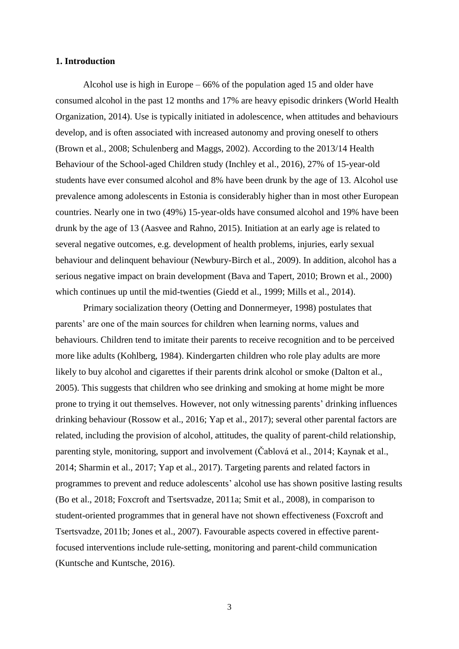#### **1. Introduction**

Alcohol use is high in Europe – 66% of the population aged 15 and older have consumed alcohol in the past 12 months and 17% are heavy episodic drinkers (World Health Organization, 2014). Use is typically initiated in adolescence, when attitudes and behaviours develop, and is often associated with increased autonomy and proving oneself to others (Brown et al., 2008; Schulenberg and Maggs, 2002). According to the 2013/14 Health Behaviour of the School-aged Children study (Inchley et al., 2016), 27% of 15-year-old students have ever consumed alcohol and 8% have been drunk by the age of 13. Alcohol use prevalence among adolescents in Estonia is considerably higher than in most other European countries. Nearly one in two (49%) 15-year-olds have consumed alcohol and 19% have been drunk by the age of 13 (Aasvee and Rahno, 2015). Initiation at an early age is related to several negative outcomes, e.g. development of health problems, injuries, early sexual behaviour and delinquent behaviour (Newbury-Birch et al., 2009). In addition, alcohol has a serious negative impact on brain development (Bava and Tapert, 2010; Brown et al., 2000) which continues up until the mid-twenties (Giedd et al., 1999; Mills et al., 2014).

Primary socialization theory (Oetting and Donnermeyer, 1998) postulates that parents' are one of the main sources for children when learning norms, values and behaviours. Children tend to imitate their parents to receive recognition and to be perceived more like adults (Kohlberg, 1984). Kindergarten children who role play adults are more likely to buy alcohol and cigarettes if their parents drink alcohol or smoke (Dalton et al., 2005). This suggests that children who see drinking and smoking at home might be more prone to trying it out themselves. However, not only witnessing parents' drinking influences drinking behaviour (Rossow et al., 2016; Yap et al., 2017); several other parental factors are related, including the provision of alcohol, attitudes, the quality of parent-child relationship, parenting style, monitoring, support and involvement (Čablová et al., 2014; Kaynak et al., 2014; Sharmin et al., 2017; Yap et al., 2017). Targeting parents and related factors in programmes to prevent and reduce adolescents' alcohol use has shown positive lasting results (Bo et al., 2018; Foxcroft and Tsertsvadze, 2011a; Smit et al., 2008), in comparison to student-oriented programmes that in general have not shown effectiveness (Foxcroft and Tsertsvadze, 2011b; Jones et al., 2007). Favourable aspects covered in effective parentfocused interventions include rule-setting, monitoring and parent-child communication (Kuntsche and Kuntsche, 2016).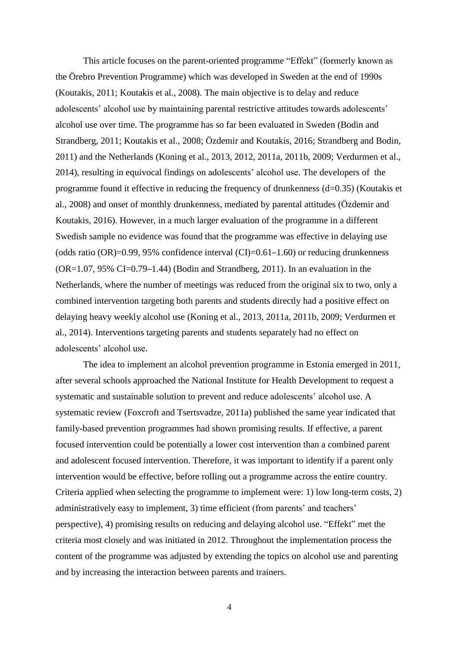This article focuses on the parent-oriented programme "Effekt" (formerly known as the Örebro Prevention Programme) which was developed in Sweden at the end of 1990s (Koutakis, 2011; Koutakis et al., 2008). The main objective is to delay and reduce adolescents' alcohol use by maintaining parental restrictive attitudes towards adolescents' alcohol use over time. The programme has so far been evaluated in Sweden (Bodin and Strandberg, 2011; Koutakis et al., 2008; Özdemir and Koutakis, 2016; Strandberg and Bodin, 2011) and the Netherlands (Koning et al., 2013, 2012, 2011a, 2011b, 2009; Verdurmen et al., 2014), resulting in equivocal findings on adolescents' alcohol use. The developers of the programme found it effective in reducing the frequency of drunkenness (d=0.35) (Koutakis et al., 2008) and onset of monthly drunkenness, mediated by parental attitudes (Özdemir and Koutakis, 2016). However, in a much larger evaluation of the programme in a different Swedish sample no evidence was found that the programme was effective in delaying use (odds ratio  $(OR)=0.99, 95\%$  confidence interval  $(CI)=0.61-1.60$ ) or reducing drunkenness  $(OR=1.07, 95\% CI=0.79-1.44)$  (Bodin and Strandberg, 2011). In an evaluation in the Netherlands, where the number of meetings was reduced from the original six to two, only a combined intervention targeting both parents and students directly had a positive effect on delaying heavy weekly alcohol use (Koning et al., 2013, 2011a, 2011b, 2009; Verdurmen et al., 2014). Interventions targeting parents and students separately had no effect on adolescents' alcohol use.

The idea to implement an alcohol prevention programme in Estonia emerged in 2011, after several schools approached the National Institute for Health Development to request a systematic and sustainable solution to prevent and reduce adolescents' alcohol use. A systematic review (Foxcroft and Tsertsvadze, 2011a) published the same year indicated that family-based prevention programmes had shown promising results. If effective, a parent focused intervention could be potentially a lower cost intervention than a combined parent and adolescent focused intervention. Therefore, it was important to identify if a parent only intervention would be effective, before rolling out a programme across the entire country. Criteria applied when selecting the programme to implement were: 1) low long-term costs, 2) administratively easy to implement, 3) time efficient (from parents' and teachers' perspective), 4) promising results on reducing and delaying alcohol use. "Effekt" met the criteria most closely and was initiated in 2012. Throughout the implementation process the content of the programme was adjusted by extending the topics on alcohol use and parenting and by increasing the interaction between parents and trainers.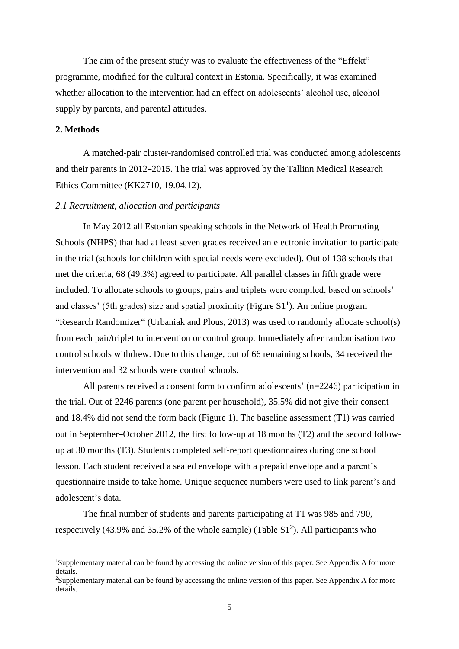The aim of the present study was to evaluate the effectiveness of the "Effekt" programme, modified for the cultural context in Estonia. Specifically, it was examined whether allocation to the intervention had an effect on adolescents' alcohol use, alcohol supply by parents, and parental attitudes.

#### **2. Methods**

**.** 

A matched-pair cluster-randomised controlled trial was conducted among adolescents and their parents in 2012–2015. The trial was approved by the Tallinn Medical Research Ethics Committee (KK2710, 19.04.12).

#### *2.1 Recruitment, allocation and participants*

In May 2012 all Estonian speaking schools in the Network of Health Promoting Schools (NHPS) that had at least seven grades received an electronic invitation to participate in the trial (schools for children with special needs were excluded). Out of 138 schools that met the criteria, 68 (49.3%) agreed to participate. All parallel classes in fifth grade were included. To allocate schools to groups, pairs and triplets were compiled, based on schools' and classes' (5th grades) size and spatial proximity (Figure  $S1<sup>1</sup>$ ). An online program "Research Randomizer" (Urbaniak and Plous, 2013) was used to randomly allocate school(s) from each pair/triplet to intervention or control group. Immediately after randomisation two control schools withdrew. Due to this change, out of 66 remaining schools, 34 received the intervention and 32 schools were control schools.

All parents received a consent form to confirm adolescents' (n=2246) participation in the trial. Out of 2246 parents (one parent per household), 35.5% did not give their consent and 18.4% did not send the form back (Figure 1). The baseline assessment (T1) was carried out in September–October 2012, the first follow-up at 18 months (T2) and the second followup at 30 months (T3). Students completed self-report questionnaires during one school lesson. Each student received a sealed envelope with a prepaid envelope and a parent's questionnaire inside to take home. Unique sequence numbers were used to link parent's and adolescent's data.

The final number of students and parents participating at T1 was 985 and 790, respectively (43.9% and 35.2% of the whole sample) (Table  $S1<sup>2</sup>$ ). All participants who

<sup>&</sup>lt;sup>1</sup>Supplementary material can be found by accessing the online version of this paper. See Appendix A for more details.

<sup>&</sup>lt;sup>2</sup>Supplementary material can be found by accessing the online version of this paper. See Appendix A for more details.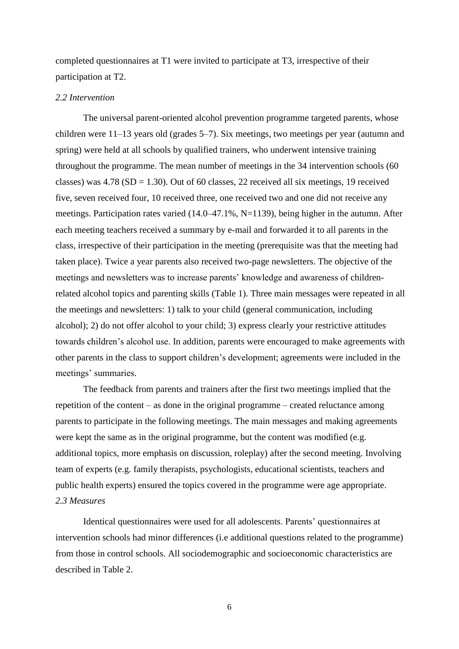completed questionnaires at T1 were invited to participate at T3, irrespective of their participation at T2.

#### *2.2 Intervention*

The universal parent-oriented alcohol prevention programme targeted parents, whose children were 11–13 years old (grades 5–7). Six meetings, two meetings per year (autumn and spring) were held at all schools by qualified trainers, who underwent intensive training throughout the programme. The mean number of meetings in the 34 intervention schools (60 classes) was  $4.78$  (SD = 1.30). Out of 60 classes, 22 received all six meetings, 19 received five, seven received four, 10 received three, one received two and one did not receive any meetings. Participation rates varied (14.0–47.1%, N=1139), being higher in the autumn. After each meeting teachers received a summary by e-mail and forwarded it to all parents in the class, irrespective of their participation in the meeting (prerequisite was that the meeting had taken place). Twice a year parents also received two-page newsletters. The objective of the meetings and newsletters was to increase parents' knowledge and awareness of childrenrelated alcohol topics and parenting skills (Table 1). Three main messages were repeated in all the meetings and newsletters: 1) talk to your child (general communication, including alcohol); 2) do not offer alcohol to your child; 3) express clearly your restrictive attitudes towards children's alcohol use. In addition, parents were encouraged to make agreements with other parents in the class to support children's development; agreements were included in the meetings' summaries.

The feedback from parents and trainers after the first two meetings implied that the repetition of the content – as done in the original programme – created reluctance among parents to participate in the following meetings. The main messages and making agreements were kept the same as in the original programme, but the content was modified (e.g. additional topics, more emphasis on discussion, roleplay) after the second meeting. Involving team of experts (e.g. family therapists, psychologists, educational scientists, teachers and public health experts) ensured the topics covered in the programme were age appropriate. *2.3 Measures*

Identical questionnaires were used for all adolescents. Parents' questionnaires at intervention schools had minor differences (i.e additional questions related to the programme) from those in control schools. All sociodemographic and socioeconomic characteristics are described in Table 2.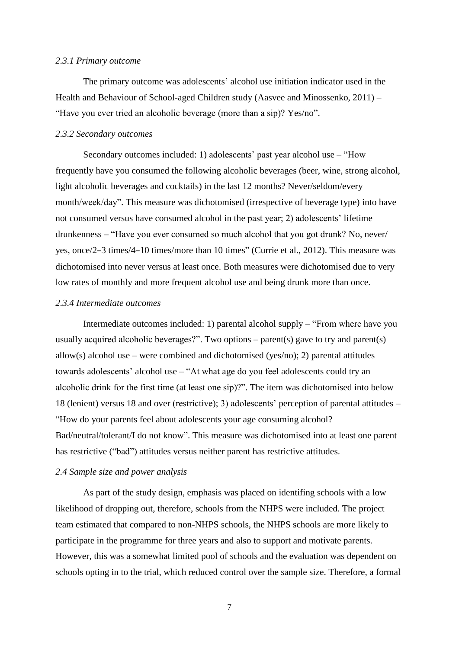#### *2.3.1 Primary outcome*

The primary outcome was adolescents' alcohol use initiation indicator used in the Health and Behaviour of School-aged Children study (Aasvee and Minossenko, 2011) – "Have you ever tried an alcoholic beverage (more than a sip)? Yes/no".

#### *2.3.2 Secondary outcomes*

Secondary outcomes included: 1) adolescents' past year alcohol use – "How frequently have you consumed the following alcoholic beverages (beer, wine, strong alcohol, light alcoholic beverages and cocktails) in the last 12 months? Never/seldom/every month/week/day". This measure was dichotomised (irrespective of beverage type) into have not consumed versus have consumed alcohol in the past year; 2) adolescents' lifetime drunkenness – "Have you ever consumed so much alcohol that you got drunk? No, never/ yes, once/2‒3 times/4‒10 times/more than 10 times" (Currie et al., 2012). This measure was dichotomised into never versus at least once. Both measures were dichotomised due to very low rates of monthly and more frequent alcohol use and being drunk more than once.

# *2.3.4 Intermediate outcomes*

Intermediate outcomes included: 1) parental alcohol supply – "From where have you usually acquired alcoholic beverages?". Two options – parent(s) gave to try and parent(s) allow(s) alcohol use – were combined and dichotomised (yes/no); 2) parental attitudes towards adolescents' alcohol use – "At what age do you feel adolescents could try an alcoholic drink for the first time (at least one sip)?". The item was dichotomised into below 18 (lenient) versus 18 and over (restrictive); 3) adolescents' perception of parental attitudes – "How do your parents feel about adolescents your age consuming alcohol? Bad/neutral/tolerant/I do not know". This measure was dichotomised into at least one parent has restrictive ("bad") attitudes versus neither parent has restrictive attitudes.

#### *2.4 Sample size and power analysis*

As part of the study design, emphasis was placed on identifing schools with a low likelihood of dropping out, therefore, schools from the NHPS were included. The project team estimated that compared to non-NHPS schools, the NHPS schools are more likely to participate in the programme for three years and also to support and motivate parents. However, this was a somewhat limited pool of schools and the evaluation was dependent on schools opting in to the trial, which reduced control over the sample size. Therefore, a formal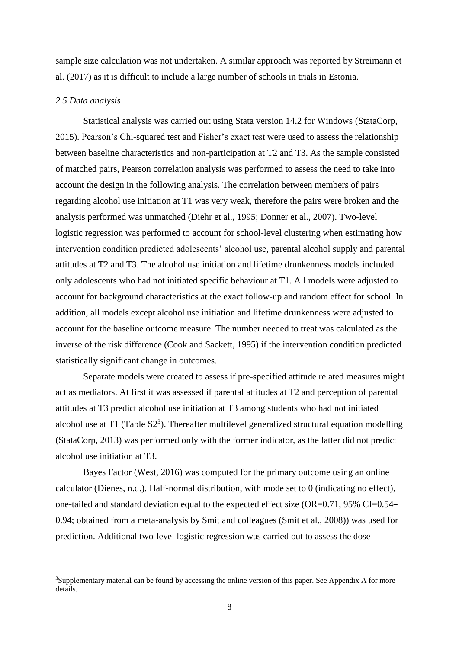sample size calculation was not undertaken. A similar approach was reported by Streimann et al. (2017) as it is difficult to include a large number of schools in trials in Estonia.

#### *2.5 Data analysis*

1

Statistical analysis was carried out using Stata version 14.2 for Windows (StataCorp, 2015). Pearson's Chi-squared test and Fisher's exact test were used to assess the relationship between baseline characteristics and non-participation at T2 and T3. As the sample consisted of matched pairs, Pearson correlation analysis was performed to assess the need to take into account the design in the following analysis. The correlation between members of pairs regarding alcohol use initiation at T1 was very weak, therefore the pairs were broken and the analysis performed was unmatched (Diehr et al., 1995; Donner et al., 2007). Two-level logistic regression was performed to account for school-level clustering when estimating how intervention condition predicted adolescents' alcohol use, parental alcohol supply and parental attitudes at T2 and T3. The alcohol use initiation and lifetime drunkenness models included only adolescents who had not initiated specific behaviour at T1. All models were adjusted to account for background characteristics at the exact follow-up and random effect for school. In addition, all models except alcohol use initiation and lifetime drunkenness were adjusted to account for the baseline outcome measure. The number needed to treat was calculated as the inverse of the risk difference (Cook and Sackett, 1995) if the intervention condition predicted statistically significant change in outcomes.

Separate models were created to assess if pre-specified attitude related measures might act as mediators. At first it was assessed if parental attitudes at T2 and perception of parental attitudes at T3 predict alcohol use initiation at T3 among students who had not initiated alcohol use at T1 (Table  $S2<sup>3</sup>$ ). Thereafter multilevel generalized structural equation modelling (StataCorp, 2013) was performed only with the former indicator, as the latter did not predict alcohol use initiation at T3.

Bayes Factor (West, 2016) was computed for the primary outcome using an online calculator (Dienes, n.d.). Half-normal distribution, with mode set to 0 (indicating no effect), one-tailed and standard deviation equal to the expected effect size (OR=0.71, 95% CI=0.54– 0.94; obtained from a meta-analysis by Smit and colleagues (Smit et al., 2008)) was used for prediction. Additional two-level logistic regression was carried out to assess the dose-

<sup>&</sup>lt;sup>3</sup>Supplementary material can be found by accessing the online version of this paper. See Appendix A for more details.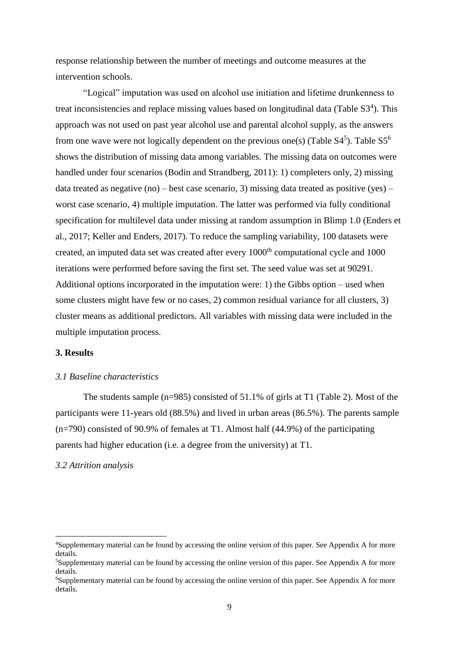response relationship between the number of meetings and outcome measures at the intervention schools.

"Logical" imputation was used on alcohol use initiation and lifetime drunkenness to treat inconsistencies and replace missing values based on longitudinal data (Table S3<sup>4</sup>). This approach was not used on past year alcohol use and parental alcohol supply, as the answers from one wave were not logically dependent on the previous one(s) (Table  $S4<sup>5</sup>$ ). Table  $S5<sup>6</sup>$ shows the distribution of missing data among variables. The missing data on outcomes were handled under four scenarios (Bodin and Strandberg, 2011): 1) completers only, 2) missing data treated as negative (no) – best case scenario, 3) missing data treated as positive (yes) – worst case scenario, 4) multiple imputation. The latter was performed via fully conditional specification for multilevel data under missing at random assumption in Blimp 1.0 (Enders et al., 2017; Keller and Enders, 2017). To reduce the sampling variability, 100 datasets were created, an imputed data set was created after every 1000<sup>th</sup> computational cycle and 1000 iterations were performed before saving the first set. The seed value was set at 90291. Additional options incorporated in the imputation were: 1) the Gibbs option – used when some clusters might have few or no cases, 2) common residual variance for all clusters, 3) cluster means as additional predictors. All variables with missing data were included in the multiple imputation process.

## **3. Results**

# *3.1 Baseline characteristics*

The students sample (n=985) consisted of 51.1% of girls at T1 (Table 2). Most of the participants were 11-years old (88.5%) and lived in urban areas (86.5%). The parents sample (n=790) consisted of 90.9% of females at T1. Almost half (44.9%) of the participating parents had higher education (i.e. a degree from the university) at T1.

# *3.2 Attrition analysis*

**.** 

<sup>4</sup>Supplementary material can be found by accessing the online version of this paper. See Appendix A for more details.

<sup>5</sup>Supplementary material can be found by accessing the online version of this paper. See Appendix A for more details.

<sup>6</sup>Supplementary material can be found by accessing the online version of this paper. See Appendix A for more details.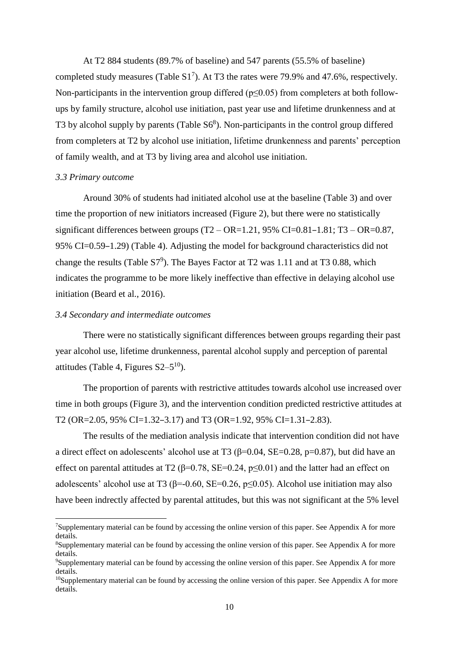At T2 884 students (89.7% of baseline) and 547 parents (55.5% of baseline) completed study measures (Table  $S1<sup>7</sup>$ ). At T3 the rates were 79.9% and 47.6%, respectively. Non-participants in the intervention group differed ( $p \le 0.05$ ) from completers at both followups by family structure, alcohol use initiation, past year use and lifetime drunkenness and at T3 by alcohol supply by parents (Table S6<sup>8</sup>). Non-participants in the control group differed from completers at T2 by alcohol use initiation, lifetime drunkenness and parents' perception of family wealth, and at T3 by living area and alcohol use initiation.

#### *3.3 Primary outcome*

1

Around 30% of students had initiated alcohol use at the baseline (Table 3) and over time the proportion of new initiators increased (Figure 2), but there were no statistically significant differences between groups  $(T2 - OR = 1.21, 95\% CI = 0.81 - 1.81; T3 - OR = 0.87,$ 95% CI=0.59–1.29) (Table 4). Adjusting the model for background characteristics did not change the results (Table S7<sup>9</sup>). The Bayes Factor at T2 was 1.11 and at T3 0.88, which indicates the programme to be more likely ineffective than effective in delaying alcohol use initiation (Beard et al., 2016).

#### *3.4 Secondary and intermediate outcomes*

There were no statistically significant differences between groups regarding their past year alcohol use, lifetime drunkenness, parental alcohol supply and perception of parental attitudes (Table 4, Figures  $S2-5^{10}$ ).

The proportion of parents with restrictive attitudes towards alcohol use increased over time in both groups (Figure 3), and the intervention condition predicted restrictive attitudes at T2 (OR=2.05, 95% CI=1.32–3.17) and T3 (OR=1.92, 95% CI=1.31–2.83).

The results of the mediation analysis indicate that intervention condition did not have a direct effect on adolescents' alcohol use at T3 ( $\beta$ =0.04, SE=0.28, p=0.87), but did have an effect on parental attitudes at T2 ( $\beta$ =0.78, SE=0.24, p<0.01) and the latter had an effect on adolescents' alcohol use at T3 ( $\beta$ =-0.60, SE=0.26, p $\leq$ 0.05). Alcohol use initiation may also have been indrectly affected by parental attitudes, but this was not significant at the 5% level

<sup>7</sup>Supplementary material can be found by accessing the online version of this paper. See Appendix A for more details.

<sup>8</sup>Supplementary material can be found by accessing the online version of this paper. See Appendix A for more details.

<sup>9</sup>Supplementary material can be found by accessing the online version of this paper. See Appendix A for more details.

 $10$ Supplementary material can be found by accessing the online version of this paper. See Appendix A for more details.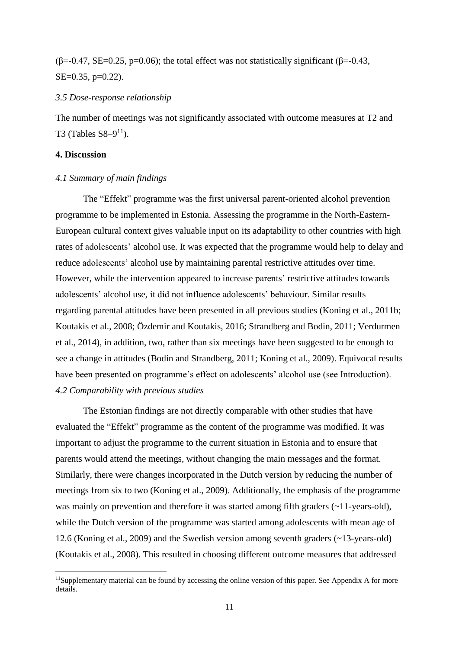(β=-0.47, SE=0.25, p=0.06); the total effect was not statistically significant (β=-0.43, SE=0.35, p=0.22).

#### *3.5 Dose-response relationship*

The number of meetings was not significantly associated with outcome measures at T2 and T3 (Tables  $S8-9^{11}$ ).

# **4. Discussion**

1

# *4.1 Summary of main findings*

The "Effekt" programme was the first universal parent-oriented alcohol prevention programme to be implemented in Estonia. Assessing the programme in the North-Eastern-European cultural context gives valuable input on its adaptability to other countries with high rates of adolescents' alcohol use. It was expected that the programme would help to delay and reduce adolescents' alcohol use by maintaining parental restrictive attitudes over time. However, while the intervention appeared to increase parents' restrictive attitudes towards adolescents' alcohol use, it did not influence adolescents' behaviour. Similar results regarding parental attitudes have been presented in all previous studies (Koning et al., 2011b; Koutakis et al., 2008; Özdemir and Koutakis, 2016; Strandberg and Bodin, 2011; Verdurmen et al., 2014), in addition, two, rather than six meetings have been suggested to be enough to see a change in attitudes (Bodin and Strandberg, 2011; Koning et al., 2009). Equivocal results have been presented on programme's effect on adolescents' alcohol use (see Introduction). *4.2 Comparability with previous studies*

The Estonian findings are not directly comparable with other studies that have evaluated the "Effekt" programme as the content of the programme was modified. It was important to adjust the programme to the current situation in Estonia and to ensure that parents would attend the meetings, without changing the main messages and the format. Similarly, there were changes incorporated in the Dutch version by reducing the number of meetings from six to two (Koning et al., 2009). Additionally, the emphasis of the programme was mainly on prevention and therefore it was started among fifth graders  $(\sim 11$ -years-old), while the Dutch version of the programme was started among adolescents with mean age of 12.6 (Koning et al., 2009) and the Swedish version among seventh graders (~13-years-old) (Koutakis et al., 2008). This resulted in choosing different outcome measures that addressed

<sup>&</sup>lt;sup>11</sup>Supplementary material can be found by accessing the online version of this paper. See Appendix A for more details.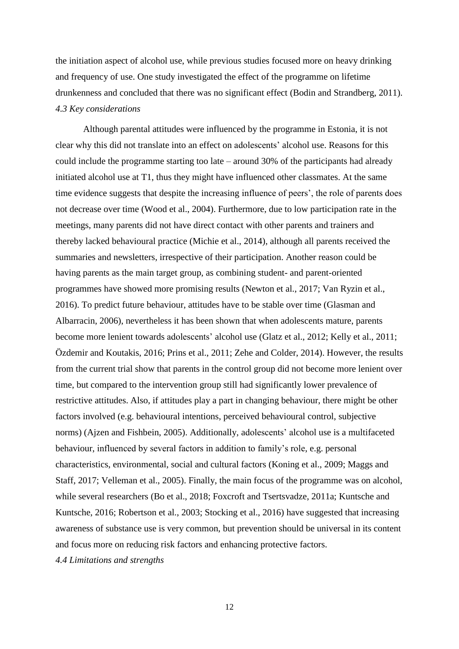the initiation aspect of alcohol use, while previous studies focused more on heavy drinking and frequency of use. One study investigated the effect of the programme on lifetime drunkenness and concluded that there was no significant effect (Bodin and Strandberg, 2011). *4.3 Key considerations*

Although parental attitudes were influenced by the programme in Estonia, it is not clear why this did not translate into an effect on adolescents' alcohol use. Reasons for this could include the programme starting too late – around 30% of the participants had already initiated alcohol use at T1, thus they might have influenced other classmates. At the same time evidence suggests that despite the increasing influence of peers', the role of parents does not decrease over time (Wood et al., 2004). Furthermore, due to low participation rate in the meetings, many parents did not have direct contact with other parents and trainers and thereby lacked behavioural practice (Michie et al., 2014), although all parents received the summaries and newsletters, irrespective of their participation. Another reason could be having parents as the main target group, as combining student- and parent-oriented programmes have showed more promising results (Newton et al., 2017; Van Ryzin et al., 2016). To predict future behaviour, attitudes have to be stable over time (Glasman and Albarracin, 2006), nevertheless it has been shown that when adolescents mature, parents become more lenient towards adolescents' alcohol use (Glatz et al., 2012; Kelly et al., 2011; Özdemir and Koutakis, 2016; Prins et al., 2011; Zehe and Colder, 2014). However, the results from the current trial show that parents in the control group did not become more lenient over time, but compared to the intervention group still had significantly lower prevalence of restrictive attitudes. Also, if attitudes play a part in changing behaviour, there might be other factors involved (e.g. behavioural intentions, perceived behavioural control, subjective norms) (Ajzen and Fishbein, 2005). Additionally, adolescents' alcohol use is a multifaceted behaviour, influenced by several factors in addition to family's role, e.g. personal characteristics, environmental, social and cultural factors (Koning et al., 2009; Maggs and Staff, 2017; Velleman et al., 2005). Finally, the main focus of the programme was on alcohol, while several researchers (Bo et al., 2018; Foxcroft and Tsertsvadze, 2011a; Kuntsche and Kuntsche, 2016; Robertson et al., 2003; Stocking et al., 2016) have suggested that increasing awareness of substance use is very common, but prevention should be universal in its content and focus more on reducing risk factors and enhancing protective factors. *4.4 Limitations and strengths*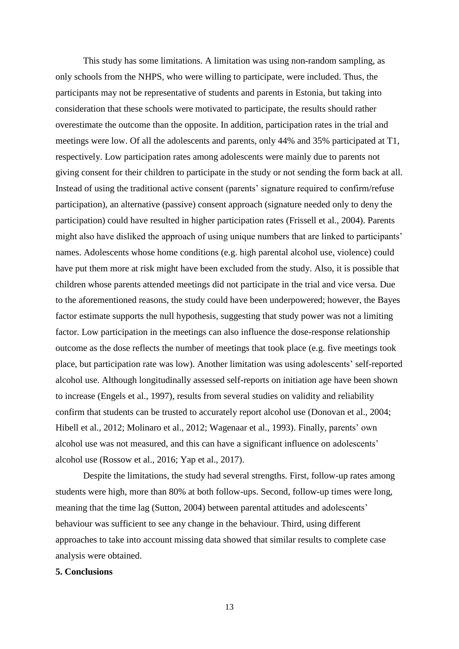This study has some limitations. A limitation was using non-random sampling, as only schools from the NHPS, who were willing to participate, were included. Thus, the participants may not be representative of students and parents in Estonia, but taking into consideration that these schools were motivated to participate, the results should rather overestimate the outcome than the opposite. In addition, participation rates in the trial and meetings were low. Of all the adolescents and parents, only 44% and 35% participated at T1, respectively. Low participation rates among adolescents were mainly due to parents not giving consent for their children to participate in the study or not sending the form back at all. Instead of using the traditional active consent (parents' signature required to confirm/refuse participation), an alternative (passive) consent approach (signature needed only to deny the participation) could have resulted in higher participation rates (Frissell et al., 2004). Parents might also have disliked the approach of using unique numbers that are linked to participants' names. Adolescents whose home conditions (e.g. high parental alcohol use, violence) could have put them more at risk might have been excluded from the study. Also, it is possible that children whose parents attended meetings did not participate in the trial and vice versa. Due to the aforementioned reasons, the study could have been underpowered; however, the Bayes factor estimate supports the null hypothesis, suggesting that study power was not a limiting factor. Low participation in the meetings can also influence the dose-response relationship outcome as the dose reflects the number of meetings that took place (e.g. five meetings took place, but participation rate was low). Another limitation was using adolescents' self-reported alcohol use. Although longitudinally assessed self-reports on initiation age have been shown to increase (Engels et al., 1997), results from several studies on validity and reliability confirm that students can be trusted to accurately report alcohol use (Donovan et al., 2004; Hibell et al., 2012; Molinaro et al., 2012; Wagenaar et al., 1993). Finally, parents' own alcohol use was not measured, and this can have a significant influence on adolescents' alcohol use (Rossow et al., 2016; Yap et al., 2017).

Despite the limitations, the study had several strengths. First, follow-up rates among students were high, more than 80% at both follow-ups. Second, follow-up times were long, meaning that the time lag (Sutton, 2004) between parental attitudes and adolescents' behaviour was sufficient to see any change in the behaviour. Third, using different approaches to take into account missing data showed that similar results to complete case analysis were obtained.

# **5. Conclusions**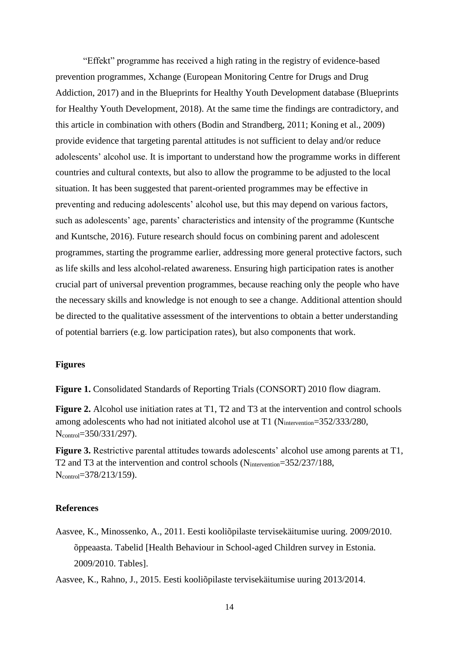"Effekt" programme has received a high rating in the registry of evidence-based prevention programmes, Xchange (European Monitoring Centre for Drugs and Drug Addiction, 2017) and in the Blueprints for Healthy Youth Development database (Blueprints for Healthy Youth Development, 2018). At the same time the findings are contradictory, and this article in combination with others (Bodin and Strandberg, 2011; Koning et al., 2009) provide evidence that targeting parental attitudes is not sufficient to delay and/or reduce adolescents' alcohol use. It is important to understand how the programme works in different countries and cultural contexts, but also to allow the programme to be adjusted to the local situation. It has been suggested that parent-oriented programmes may be effective in preventing and reducing adolescents' alcohol use, but this may depend on various factors, such as adolescents' age, parents' characteristics and intensity of the programme (Kuntsche and Kuntsche, 2016). Future research should focus on combining parent and adolescent programmes, starting the programme earlier, addressing more general protective factors, such as life skills and less alcohol-related awareness. Ensuring high participation rates is another crucial part of universal prevention programmes, because reaching only the people who have the necessary skills and knowledge is not enough to see a change. Additional attention should be directed to the qualitative assessment of the interventions to obtain a better understanding of potential barriers (e.g. low participation rates), but also components that work.

# **Figures**

**Figure 1.** Consolidated Standards of Reporting Trials (CONSORT) 2010 flow diagram.

**Figure 2.** Alcohol use initiation rates at T1, T2 and T3 at the intervention and control schools among adolescents who had not initiated alcohol use at T1 (Nintervention=352/333/280, N<sub>control</sub>=350/331/297).

**Figure 3.** Restrictive parental attitudes towards adolescents' alcohol use among parents at T1, T2 and T3 at the intervention and control schools (Nintervention=352/237/188, N<sub>control</sub>=378/213/159).

# **References**

Aasvee, K., Minossenko, A., 2011. Eesti kooliõpilaste tervisekäitumise uuring. 2009/2010. õppeaasta. Tabelid [Health Behaviour in School-aged Children survey in Estonia. 2009/2010. Tables].

Aasvee, K., Rahno, J., 2015. Eesti kooliõpilaste tervisekäitumise uuring 2013/2014.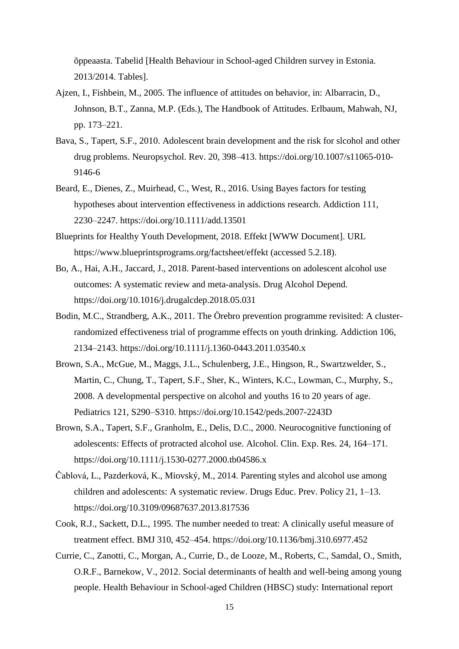õppeaasta. Tabelid [Health Behaviour in School-aged Children survey in Estonia. 2013/2014. Tables].

- Ajzen, I., Fishbein, M., 2005. The influence of attitudes on behavior, in: Albarracin, D., Johnson, B.T., Zanna, M.P. (Eds.), The Handbook of Attitudes. Erlbaum, Mahwah, NJ, pp. 173–221.
- Bava, S., Tapert, S.F., 2010. Adolescent brain development and the risk for slcohol and other drug problems. Neuropsychol. Rev. 20, 398–413. https://doi.org/10.1007/s11065-010- 9146-6
- Beard, E., Dienes, Z., Muirhead, C., West, R., 2016. Using Bayes factors for testing hypotheses about intervention effectiveness in addictions research. Addiction 111, 2230–2247. https://doi.org/10.1111/add.13501
- Blueprints for Healthy Youth Development, 2018. Effekt [WWW Document]. URL https://www.blueprintsprograms.org/factsheet/effekt (accessed 5.2.18).
- Bo, A., Hai, A.H., Jaccard, J., 2018. Parent-based interventions on adolescent alcohol use outcomes: A systematic review and meta-analysis. Drug Alcohol Depend. https://doi.org/10.1016/j.drugalcdep.2018.05.031
- Bodin, M.C., Strandberg, A.K., 2011. The Örebro prevention programme revisited: A clusterrandomized effectiveness trial of programme effects on youth drinking. Addiction 106, 2134–2143. https://doi.org/10.1111/j.1360-0443.2011.03540.x
- Brown, S.A., McGue, M., Maggs, J.L., Schulenberg, J.E., Hingson, R., Swartzwelder, S., Martin, C., Chung, T., Tapert, S.F., Sher, K., Winters, K.C., Lowman, C., Murphy, S., 2008. A developmental perspective on alcohol and youths 16 to 20 years of age. Pediatrics 121, S290–S310. https://doi.org/10.1542/peds.2007-2243D
- Brown, S.A., Tapert, S.F., Granholm, E., Delis, D.C., 2000. Neurocognitive functioning of adolescents: Effects of protracted alcohol use. Alcohol. Clin. Exp. Res. 24, 164–171. https://doi.org/10.1111/j.1530-0277.2000.tb04586.x
- Čablová, L., Pazderková, K., Miovský, M., 2014. Parenting styles and alcohol use among children and adolescents: A systematic review. Drugs Educ. Prev. Policy 21, 1–13. https://doi.org/10.3109/09687637.2013.817536
- Cook, R.J., Sackett, D.L., 1995. The number needed to treat: A clinically useful measure of treatment effect. BMJ 310, 452–454. https://doi.org/10.1136/bmj.310.6977.452
- Currie, C., Zanotti, C., Morgan, A., Currie, D., de Looze, M., Roberts, C., Samdal, O., Smith, O.R.F., Barnekow, V., 2012. Social determinants of health and well-being among young people. Health Behaviour in School-aged Children (HBSC) study: International report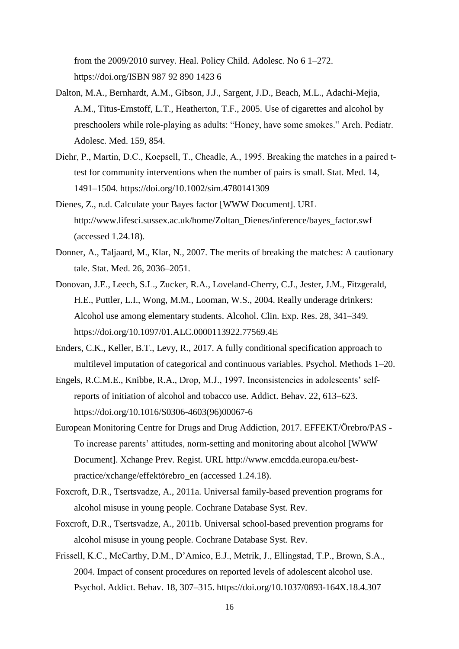from the 2009/2010 survey. Heal. Policy Child. Adolesc. No 6 1–272. https://doi.org/ISBN 987 92 890 1423 6

- Dalton, M.A., Bernhardt, A.M., Gibson, J.J., Sargent, J.D., Beach, M.L., Adachi-Mejia, A.M., Titus-Ernstoff, L.T., Heatherton, T.F., 2005. Use of cigarettes and alcohol by preschoolers while role-playing as adults: "Honey, have some smokes." Arch. Pediatr. Adolesc. Med. 159, 854.
- Diehr, P., Martin, D.C., Koepsell, T., Cheadle, A., 1995. Breaking the matches in a paired ttest for community interventions when the number of pairs is small. Stat. Med. 14, 1491–1504. https://doi.org/10.1002/sim.4780141309
- Dienes, Z., n.d. Calculate your Bayes factor [WWW Document]. URL http://www.lifesci.sussex.ac.uk/home/Zoltan\_Dienes/inference/bayes\_factor.swf (accessed 1.24.18).
- Donner, A., Taljaard, M., Klar, N., 2007. The merits of breaking the matches: A cautionary tale. Stat. Med. 26, 2036–2051.
- Donovan, J.E., Leech, S.L., Zucker, R.A., Loveland-Cherry, C.J., Jester, J.M., Fitzgerald, H.E., Puttler, L.I., Wong, M.M., Looman, W.S., 2004. Really underage drinkers: Alcohol use among elementary students. Alcohol. Clin. Exp. Res. 28, 341–349. https://doi.org/10.1097/01.ALC.0000113922.77569.4E
- Enders, C.K., Keller, B.T., Levy, R., 2017. A fully conditional specification approach to multilevel imputation of categorical and continuous variables. Psychol. Methods 1–20.
- Engels, R.C.M.E., Knibbe, R.A., Drop, M.J., 1997. Inconsistencies in adolescents' selfreports of initiation of alcohol and tobacco use. Addict. Behav. 22, 613–623. https://doi.org/10.1016/S0306-4603(96)00067-6
- European Monitoring Centre for Drugs and Drug Addiction, 2017. EFFEKT/Örebro/PAS To increase parents' attitudes, norm-setting and monitoring about alcohol [WWW Document]. Xchange Prev. Regist. URL http://www.emcdda.europa.eu/bestpractice/xchange/effektörebro\_en (accessed 1.24.18).
- Foxcroft, D.R., Tsertsvadze, A., 2011a. Universal family-based prevention programs for alcohol misuse in young people. Cochrane Database Syst. Rev.
- Foxcroft, D.R., Tsertsvadze, A., 2011b. Universal school-based prevention programs for alcohol misuse in young people. Cochrane Database Syst. Rev.
- Frissell, K.C., McCarthy, D.M., D'Amico, E.J., Metrik, J., Ellingstad, T.P., Brown, S.A., 2004. Impact of consent procedures on reported levels of adolescent alcohol use. Psychol. Addict. Behav. 18, 307–315. https://doi.org/10.1037/0893-164X.18.4.307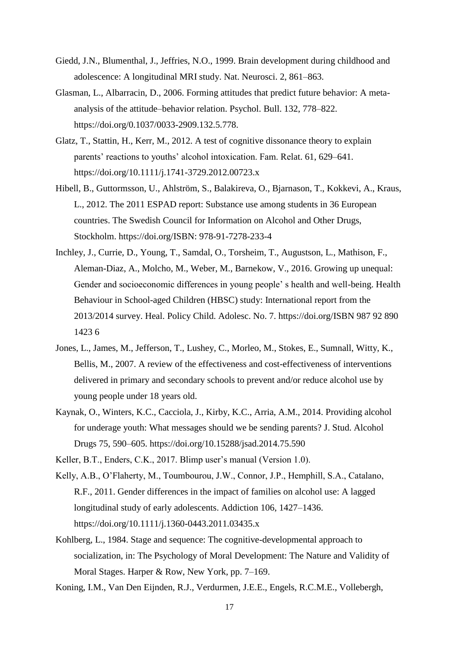- Giedd, J.N., Blumenthal, J., Jeffries, N.O., 1999. Brain development during childhood and adolescence: A longitudinal MRI study. Nat. Neurosci. 2, 861–863.
- Glasman, L., Albarracin, D., 2006. Forming attitudes that predict future behavior: A metaanalysis of the attitude–behavior relation. Psychol. Bull. 132, 778–822. https://doi.org/0.1037/0033-2909.132.5.778.
- Glatz, T., Stattin, H., Kerr, M., 2012. A test of cognitive dissonance theory to explain parents' reactions to youths' alcohol intoxication. Fam. Relat. 61, 629–641. https://doi.org/10.1111/j.1741-3729.2012.00723.x
- Hibell, B., Guttormsson, U., Ahlström, S., Balakireva, O., Bjarnason, T., Kokkevi, A., Kraus, L., 2012. The 2011 ESPAD report: Substance use among students in 36 European countries. The Swedish Council for Information on Alcohol and Other Drugs, Stockholm. https://doi.org/ISBN: 978-91-7278-233-4
- Inchley, J., Currie, D., Young, T., Samdal, O., Torsheim, T., Augustson, L., Mathison, F., Aleman-Diaz, A., Molcho, M., Weber, M., Barnekow, V., 2016. Growing up unequal: Gender and socioeconomic differences in young people' s health and well-being. Health Behaviour in School-aged Children (HBSC) study: International report from the 2013/2014 survey. Heal. Policy Child. Adolesc. No. 7. https://doi.org/ISBN 987 92 890 1423 6
- Jones, L., James, M., Jefferson, T., Lushey, C., Morleo, M., Stokes, E., Sumnall, Witty, K., Bellis, M., 2007. A review of the effectiveness and cost-effectiveness of interventions delivered in primary and secondary schools to prevent and/or reduce alcohol use by young people under 18 years old.
- Kaynak, O., Winters, K.C., Cacciola, J., Kirby, K.C., Arria, A.M., 2014. Providing alcohol for underage youth: What messages should we be sending parents? J. Stud. Alcohol Drugs 75, 590–605. https://doi.org/10.15288/jsad.2014.75.590

Keller, B.T., Enders, C.K., 2017. Blimp user's manual (Version 1.0).

- Kelly, A.B., O'Flaherty, M., Toumbourou, J.W., Connor, J.P., Hemphill, S.A., Catalano, R.F., 2011. Gender differences in the impact of families on alcohol use: A lagged longitudinal study of early adolescents. Addiction 106, 1427–1436. https://doi.org/10.1111/j.1360-0443.2011.03435.x
- Kohlberg, L., 1984. Stage and sequence: The cognitive-developmental approach to socialization, in: The Psychology of Moral Development: The Nature and Validity of Moral Stages. Harper & Row, New York, pp. 7–169.
- Koning, I.M., Van Den Eijnden, R.J., Verdurmen, J.E.E., Engels, R.C.M.E., Vollebergh,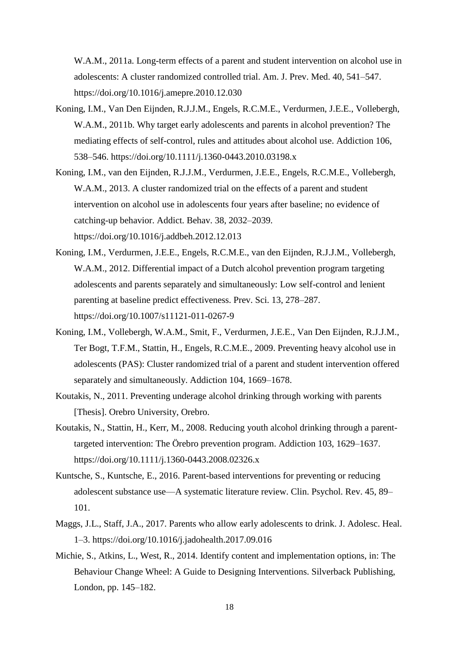W.A.M., 2011a. Long-term effects of a parent and student intervention on alcohol use in adolescents: A cluster randomized controlled trial. Am. J. Prev. Med. 40, 541–547. https://doi.org/10.1016/j.amepre.2010.12.030

- Koning, I.M., Van Den Eijnden, R.J.J.M., Engels, R.C.M.E., Verdurmen, J.E.E., Vollebergh, W.A.M., 2011b. Why target early adolescents and parents in alcohol prevention? The mediating effects of self-control, rules and attitudes about alcohol use. Addiction 106, 538–546. https://doi.org/10.1111/j.1360-0443.2010.03198.x
- Koning, I.M., van den Eijnden, R.J.J.M., Verdurmen, J.E.E., Engels, R.C.M.E., Vollebergh, W.A.M., 2013. A cluster randomized trial on the effects of a parent and student intervention on alcohol use in adolescents four years after baseline; no evidence of catching-up behavior. Addict. Behav. 38, 2032–2039. https://doi.org/10.1016/j.addbeh.2012.12.013
- Koning, I.M., Verdurmen, J.E.E., Engels, R.C.M.E., van den Eijnden, R.J.J.M., Vollebergh, W.A.M., 2012. Differential impact of a Dutch alcohol prevention program targeting adolescents and parents separately and simultaneously: Low self-control and lenient parenting at baseline predict effectiveness. Prev. Sci. 13, 278–287. https://doi.org/10.1007/s11121-011-0267-9
- Koning, I.M., Vollebergh, W.A.M., Smit, F., Verdurmen, J.E.E., Van Den Eijnden, R.J.J.M., Ter Bogt, T.F.M., Stattin, H., Engels, R.C.M.E., 2009. Preventing heavy alcohol use in adolescents (PAS): Cluster randomized trial of a parent and student intervention offered separately and simultaneously. Addiction 104, 1669–1678.
- Koutakis, N., 2011. Preventing underage alcohol drinking through working with parents [Thesis]. Orebro University, Orebro.
- Koutakis, N., Stattin, H., Kerr, M., 2008. Reducing youth alcohol drinking through a parenttargeted intervention: The Örebro prevention program. Addiction 103, 1629–1637. https://doi.org/10.1111/j.1360-0443.2008.02326.x
- Kuntsche, S., Kuntsche, E., 2016. Parent-based interventions for preventing or reducing adolescent substance use—A systematic literature review. Clin. Psychol. Rev. 45, 89– 101.
- Maggs, J.L., Staff, J.A., 2017. Parents who allow early adolescents to drink. J. Adolesc. Heal. 1–3. https://doi.org/10.1016/j.jadohealth.2017.09.016
- Michie, S., Atkins, L., West, R., 2014. Identify content and implementation options, in: The Behaviour Change Wheel: A Guide to Designing Interventions. Silverback Publishing, London, pp. 145–182.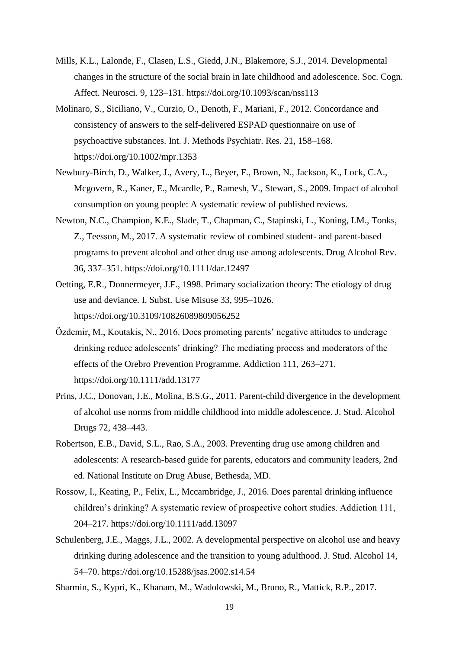- Mills, K.L., Lalonde, F., Clasen, L.S., Giedd, J.N., Blakemore, S.J., 2014. Developmental changes in the structure of the social brain in late childhood and adolescence. Soc. Cogn. Affect. Neurosci. 9, 123–131. https://doi.org/10.1093/scan/nss113
- Molinaro, S., Siciliano, V., Curzio, O., Denoth, F., Mariani, F., 2012. Concordance and consistency of answers to the self-delivered ESPAD questionnaire on use of psychoactive substances. Int. J. Methods Psychiatr. Res. 21, 158–168. https://doi.org/10.1002/mpr.1353
- Newbury-Birch, D., Walker, J., Avery, L., Beyer, F., Brown, N., Jackson, K., Lock, C.A., Mcgovern, R., Kaner, E., Mcardle, P., Ramesh, V., Stewart, S., 2009. Impact of alcohol consumption on young people: A systematic review of published reviews.
- Newton, N.C., Champion, K.E., Slade, T., Chapman, C., Stapinski, L., Koning, I.M., Tonks, Z., Teesson, M., 2017. A systematic review of combined student- and parent-based programs to prevent alcohol and other drug use among adolescents. Drug Alcohol Rev. 36, 337–351. https://doi.org/10.1111/dar.12497
- Oetting, E.R., Donnermeyer, J.F., 1998. Primary socialization theory: The etiology of drug use and deviance. I. Subst. Use Misuse 33, 995–1026. https://doi.org/10.3109/10826089809056252
- Özdemir, M., Koutakis, N., 2016. Does promoting parents' negative attitudes to underage drinking reduce adolescents' drinking? The mediating process and moderators of the effects of the Orebro Prevention Programme. Addiction 111, 263–271. https://doi.org/10.1111/add.13177
- Prins, J.C., Donovan, J.E., Molina, B.S.G., 2011. Parent-child divergence in the development of alcohol use norms from middle childhood into middle adolescence. J. Stud. Alcohol Drugs 72, 438–443.
- Robertson, E.B., David, S.L., Rao, S.A., 2003. Preventing drug use among children and adolescents: A research-based guide for parents, educators and community leaders, 2nd ed. National Institute on Drug Abuse, Bethesda, MD.
- Rossow, I., Keating, P., Felix, L., Mccambridge, J., 2016. Does parental drinking influence children's drinking? A systematic review of prospective cohort studies. Addiction 111, 204–217. https://doi.org/10.1111/add.13097
- Schulenberg, J.E., Maggs, J.L., 2002. A developmental perspective on alcohol use and heavy drinking during adolescence and the transition to young adulthood. J. Stud. Alcohol 14, 54–70. https://doi.org/10.15288/jsas.2002.s14.54
- Sharmin, S., Kypri, K., Khanam, M., Wadolowski, M., Bruno, R., Mattick, R.P., 2017.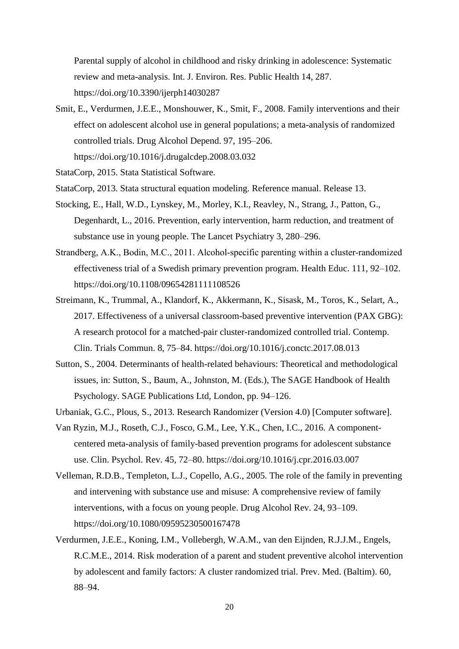Parental supply of alcohol in childhood and risky drinking in adolescence: Systematic review and meta-analysis. Int. J. Environ. Res. Public Health 14, 287. https://doi.org/10.3390/ijerph14030287

- Smit, E., Verdurmen, J.E.E., Monshouwer, K., Smit, F., 2008. Family interventions and their effect on adolescent alcohol use in general populations; a meta-analysis of randomized controlled trials. Drug Alcohol Depend. 97, 195–206. https://doi.org/10.1016/j.drugalcdep.2008.03.032
- StataCorp, 2015. Stata Statistical Software.
- StataCorp, 2013. Stata structural equation modeling. Reference manual. Release 13.
- Stocking, E., Hall, W.D., Lynskey, M., Morley, K.I., Reavley, N., Strang, J., Patton, G., Degenhardt, L., 2016. Prevention, early intervention, harm reduction, and treatment of substance use in young people. The Lancet Psychiatry 3, 280–296.
- Strandberg, A.K., Bodin, M.C., 2011. Alcohol-specific parenting within a cluster-randomized effectiveness trial of a Swedish primary prevention program. Health Educ. 111, 92–102. https://doi.org/10.1108/09654281111108526
- Streimann, K., Trummal, A., Klandorf, K., Akkermann, K., Sisask, M., Toros, K., Selart, A., 2017. Effectiveness of a universal classroom-based preventive intervention (PAX GBG): A research protocol for a matched-pair cluster-randomized controlled trial. Contemp. Clin. Trials Commun. 8, 75–84. https://doi.org/10.1016/j.conctc.2017.08.013
- Sutton, S., 2004. Determinants of health-related behaviours: Theoretical and methodological issues, in: Sutton, S., Baum, A., Johnston, M. (Eds.), The SAGE Handbook of Health Psychology. SAGE Publications Ltd, London, pp. 94–126.
- Urbaniak, G.C., Plous, S., 2013. Research Randomizer (Version 4.0) [Computer software].
- Van Ryzin, M.J., Roseth, C.J., Fosco, G.M., Lee, Y.K., Chen, I.C., 2016. A componentcentered meta-analysis of family-based prevention programs for adolescent substance use. Clin. Psychol. Rev. 45, 72–80. https://doi.org/10.1016/j.cpr.2016.03.007
- Velleman, R.D.B., Templeton, L.J., Copello, A.G., 2005. The role of the family in preventing and intervening with substance use and misuse: A comprehensive review of family interventions, with a focus on young people. Drug Alcohol Rev. 24, 93–109. https://doi.org/10.1080/09595230500167478
- Verdurmen, J.E.E., Koning, I.M., Vollebergh, W.A.M., van den Eijnden, R.J.J.M., Engels, R.C.M.E., 2014. Risk moderation of a parent and student preventive alcohol intervention by adolescent and family factors: A cluster randomized trial. Prev. Med. (Baltim). 60, 88–94.